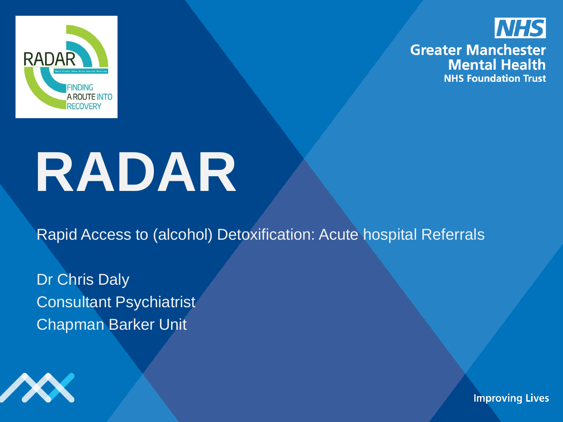



# **RADAR**

Rapid Access to (alcohol) Detoxification: Acute hospital Referrals

Dr Chris Daly Consultant Psychiatrist Chapman Barker Unit

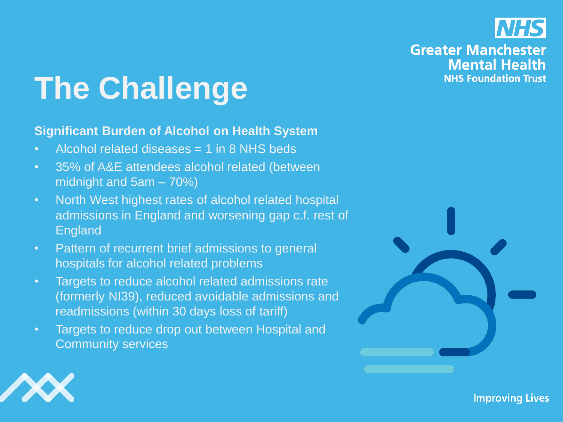

# **The Challenge**

#### **Significant Burden of Alcohol on Health System**

- Alcohol related diseases = 1 in 8 NHS beds
- 35% of A&E attendees alcohol related (between midnight and 5am – 70%)
- North West highest rates of alcohol related hospital admissions in England and worsening gap c.f. rest of England
- Pattern of recurrent brief admissions to general hospitals for alcohol related problems
- Targets to reduce alcohol related admissions rate (formerly NI39), reduced avoidable admissions and readmissions (within 30 days loss of tariff)
- Targets to reduce drop out between Hospital and Community services



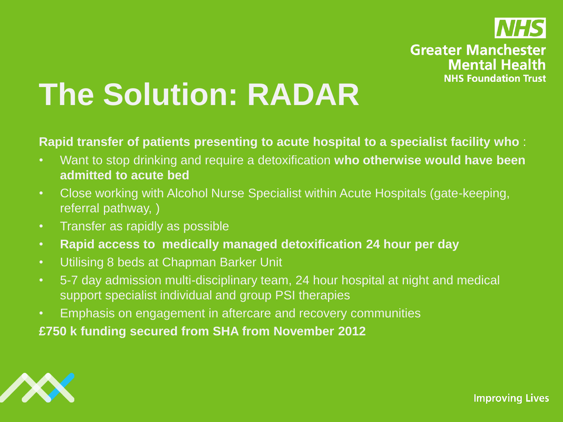

# **The Solution: RADAR**

**Rapid transfer of patients presenting to acute hospital to a specialist facility who** :

- Want to stop drinking and require a detoxification **who otherwise would have been admitted to acute bed**
- Close working with Alcohol Nurse Specialist within Acute Hospitals (gate-keeping, referral pathway, )
- Transfer as rapidly as possible
- **Rapid access to medically managed detoxification 24 hour per day**
- Utilising 8 beds at Chapman Barker Unit
- 5-7 day admission multi-disciplinary team, 24 hour hospital at night and medical support specialist individual and group PSI therapies
- Emphasis on engagement in aftercare and recovery communities

**£750 k funding secured from SHA from November 2012**

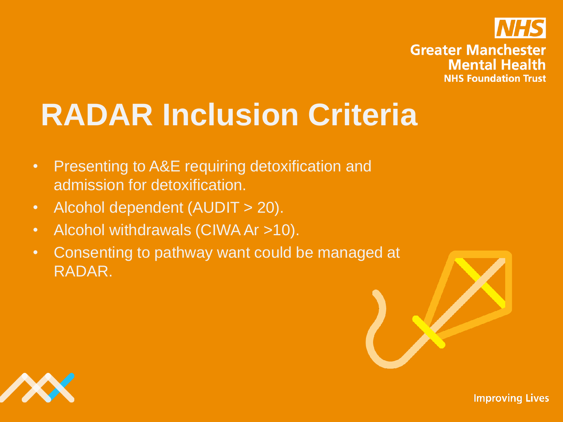

# **RADAR Inclusion Criteria**

- Presenting to A&E requiring detoxification and admission for detoxification.
- Alcohol dependent (AUDIT > 20).
- Alcohol withdrawals (CIWA Ar >10).
- Consenting to pathway want could be managed at RADAR.

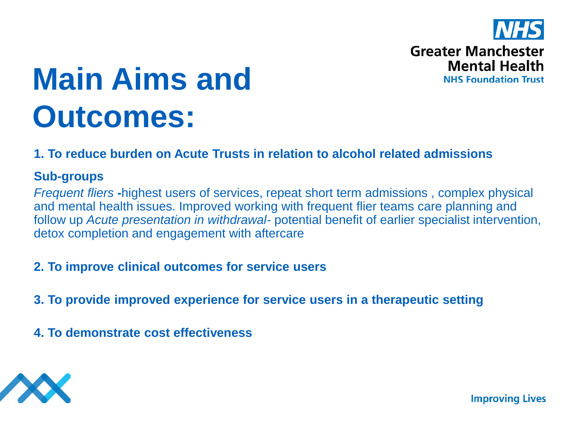

**NHS Foundation Trust** 

# **Main Aims and Outcomes:**

### **1. To reduce burden on Acute Trusts in relation to alcohol related admissions**

### **Sub-groups**

*Frequent fliers* **-**highest users of services, repeat short term admissions , complex physical and mental health issues. Improved working with frequent flier teams care planning and follow up *Acute presentation in withdrawal-* potential benefit of earlier specialist intervention, detox completion and engagement with aftercare

### **2. To improve clinical outcomes for service users**

- **3. To provide improved experience for service users in a therapeutic setting**
- **4. To demonstrate cost effectiveness**

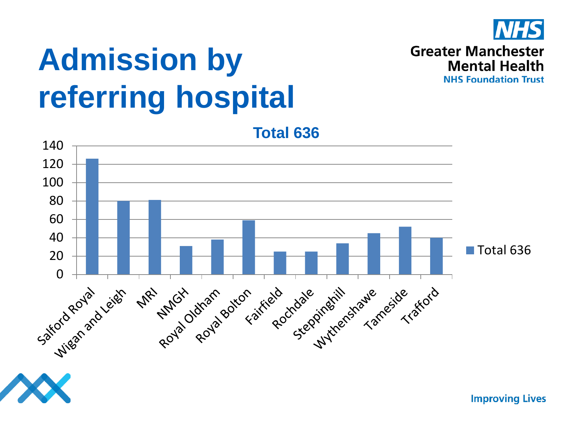

**Greater Manchester** 

**Mental Health NHS Foundation Trust** 

# **Admission by referring hospital**

**Total 636** 140 120 100 80 60 40 ■Total 636 20 Cattochamand Print Roya Roya Botton Field Rockdale Indianawe Takesta **MRY** 

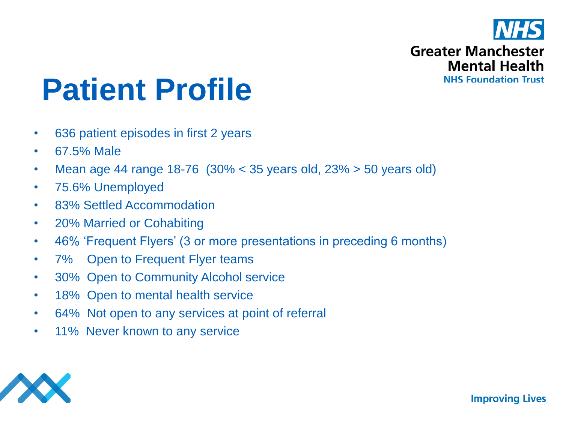

# **Patient Profile**

- 636 patient episodes in first 2 years
- 67.5% Male
- Mean age 44 range 18-76  $(30\% < 35$  years old,  $23\% > 50$  years old)
- 75.6% Unemployed
- 83% Settled Accommodation
- 20% Married or Cohabiting
- 46% 'Frequent Flyers' (3 or more presentations in preceding 6 months)
- 7% Open to Frequent Flyer teams
- 30% Open to Community Alcohol service
- 18% Open to mental health service
- 64% Not open to any services at point of referral
- 11% Never known to any service

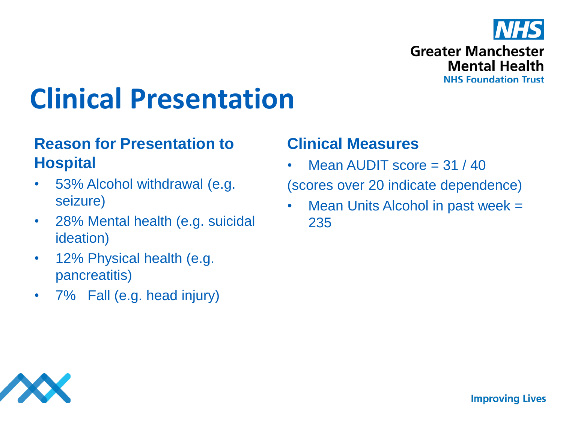

# **Clinical Presentation**

# **Reason for Presentation to Hospital**

- 53% Alcohol withdrawal (e.g. seizure)
- 28% Mental health (e.g. suicidal ideation)
- 12% Physical health (e.g. pancreatitis)
- 7% Fall (e.g. head injury)

# **Clinical Measures**

- Mean AUDIT score  $=$  31 / 40 (scores over 20 indicate dependence)
- Mean Units Alcohol in past week = 235

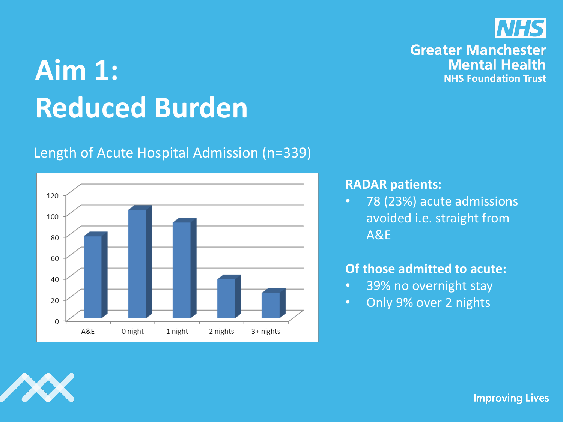# **Aim 1: Reduced Burden**

### Length of Acute Hospital Admission (n=339)



#### **RADAR patients:**

• 78 (23%) acute admissions avoided i.e. straight from A&E

#### **Of those admitted to acute:**

- 39% no overnight stay
- Only 9% over 2 nights



**Improving Lives** 



### **Greater Manchester Mental Health NHS Foundation Trust**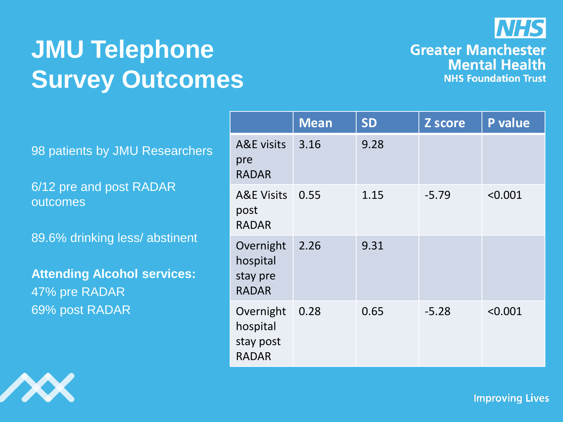

# **JMU Telephone Survey Outcomes**

#### **Greater Manchester Mental Health NHS Foundation Trust**

98 patients by JMU Researchers

6/12 pre and post RADAR outcomes

89.6% drinking less/ abstinent

**Attending Alcohol services:** 47% pre RADAR 69% post RADAR

|                                                    | <b>Mean</b> | <b>SD</b> | Z score | P value |
|----------------------------------------------------|-------------|-----------|---------|---------|
| <b>A&amp;E</b> visits<br>pre<br><b>RADAR</b>       | 3.16        | 9.28      |         |         |
| <b>A&amp;E Visits</b><br>post<br><b>RADAR</b>      | 0.55        | 1.15      | $-5.79$ | < 0.001 |
| Overnight<br>hospital<br>stay pre<br><b>RADAR</b>  | 2.26        | 9.31      |         |         |
| Overnight<br>hospital<br>stay post<br><b>RADAR</b> | 0.28        | 0.65      | $-5.28$ | < 0.001 |

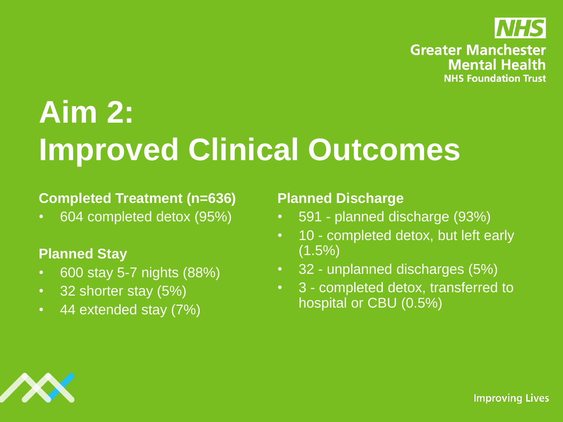

# **Aim 2: Improved Clinical Outcomes**

### **Completed Treatment (n=636)**

• 604 completed detox (95%)

### **Planned Stay**

- 600 stay 5-7 nights (88%)
- 32 shorter stay (5%)
- 44 extended stay (7%)

### **Planned Discharge**

- 591 planned discharge (93%)
- 10 completed detox, but left early  $(1.5\%)$
- 32 unplanned discharges (5%)
- 3 completed detox, transferred to hospital or CBU (0.5%)

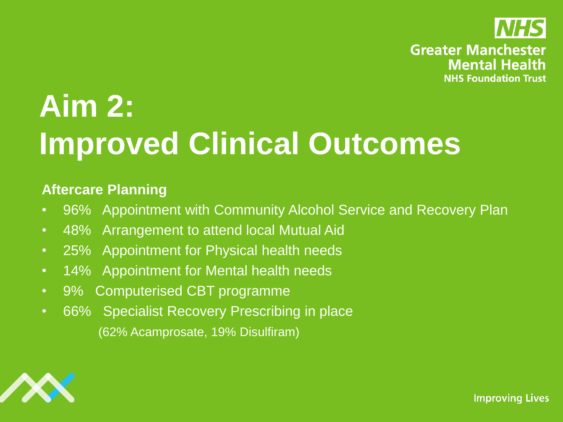

# **Aim 2: Improved Clinical Outcomes**

### **Aftercare Planning**

- 96% Appointment with Community Alcohol Service and Recovery Plan
- 48% Arrangement to attend local Mutual Aid
- 25% Appointment for Physical health needs
- 14% Appointment for Mental health needs
- 9% Computerised CBT programme
- 66% Specialist Recovery Prescribing in place (62% Acamprosate, 19% Disulfiram)

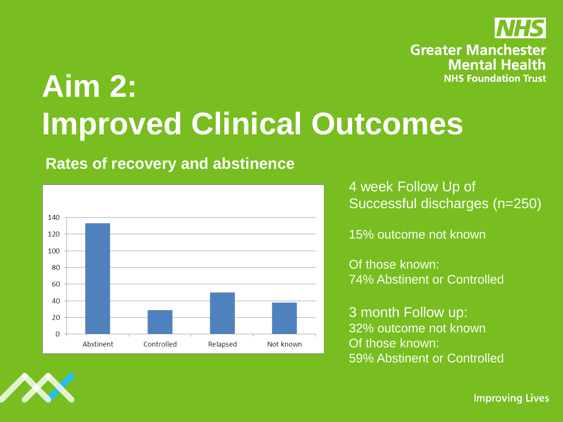

# **Aim 2: Improved Clinical Outcomes**

### **Rates of recovery and abstinence**



4 week Follow Up of Successful discharges (n=250)

15% outcome not known

Of those known: 74% Abstinent or Controlled

3 month Follow up: 32% outcome not known Of those known: 59% Abstinent or Controlled

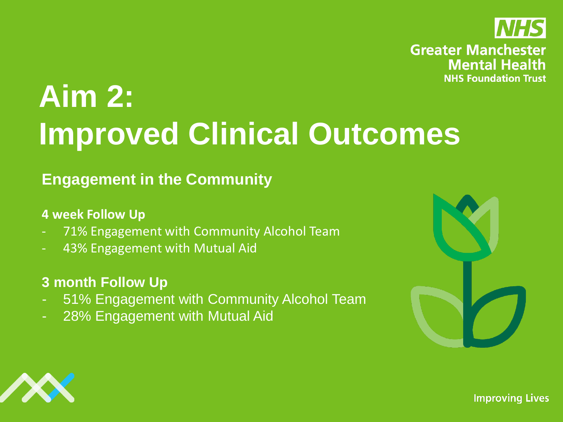

# **Aim 2: Improved Clinical Outcomes**

# **Engagement in the Community**

### **4 week Follow Up**

- 71% Engagement with Community Alcohol Team
- 43% Engagement with Mutual Aid

## **3 month Follow Up**

- 51% Engagement with Community Alcohol Team
- 28% Engagement with Mutual Aid



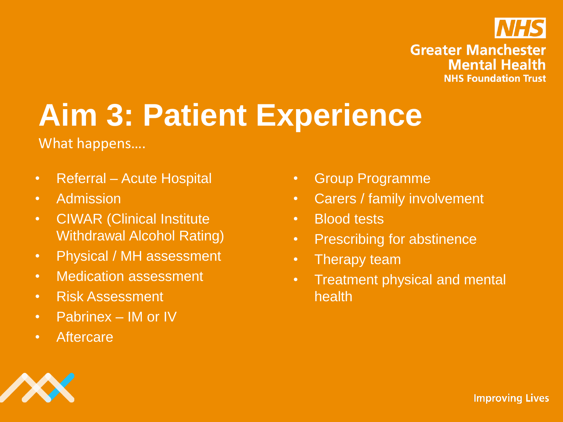

# **Aim 3: Patient Experience**

What happens….

- Referral Acute Hospital
- Admission
- CIWAR (Clinical Institute Withdrawal Alcohol Rating)
- Physical / MH assessment
- Medication assessment
- Risk Assessment
- Pabrinex IM or IV
- Aftercare
- Group Programme
- Carers / family involvement
- Blood tests
- Prescribing for abstinence
- Therapy team
- Treatment physical and mental health

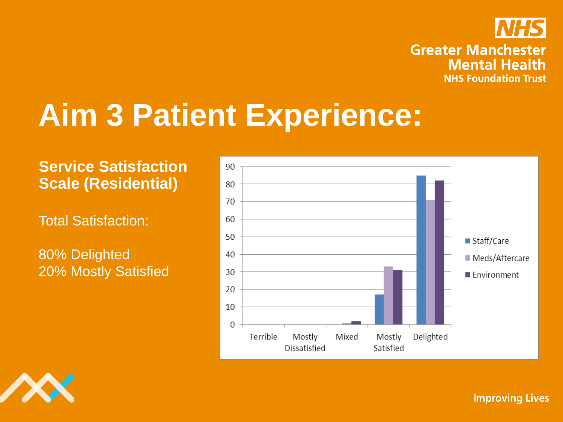

# **Aim 3 Patient Experience:**

# **Service Satisfaction Scale (Residential)**

Total Satisfaction:

80% Delighted 20% Mostly Satisfied



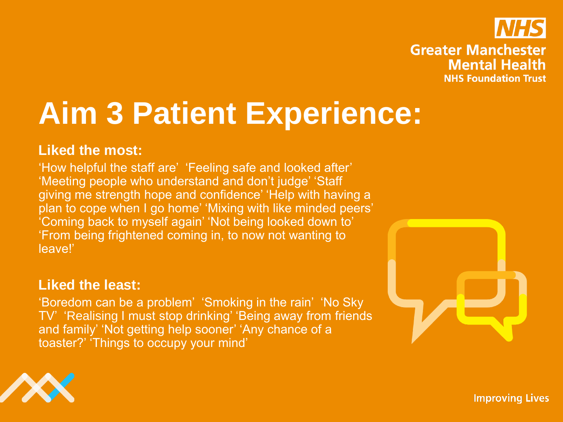

# **Aim 3 Patient Experience:**

### **Liked the most:**

'How helpful the staff are' 'Feeling safe and looked after' 'Meeting people who understand and don't judge' 'Staff giving me strength hope and confidence' 'Help with having a plan to cope when I go home' 'Mixing with like minded peers' 'Coming back to myself again' 'Not being looked down to' 'From being frightened coming in, to now not wanting to leave!'

### **Liked the least:**

'Boredom can be a problem' 'Smoking in the rain' 'No Sky TV' 'Realising I must stop drinking' 'Being away from friends and family' 'Not getting help sooner' 'Any chance of a toaster?' 'Things to occupy your mind'



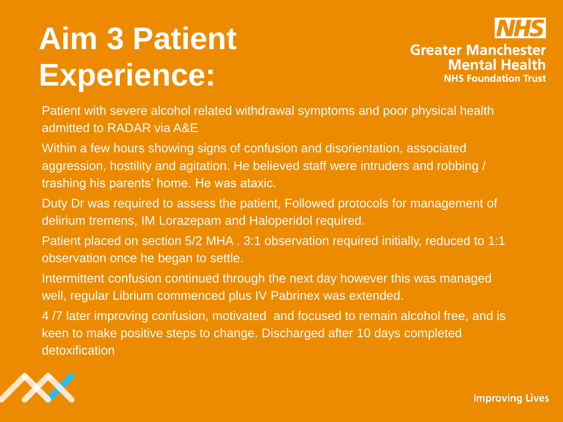# **Aim 3 Patient Experience:**



**Greater Manchester Mental Health NHS Foundation Trust** 

Patient with severe alcohol related withdrawal symptoms and poor physical health admitted to RADAR via A&E

Within a few hours showing signs of confusion and disorientation, associated aggression, hostility and agitation. He believed staff were intruders and robbing / trashing his parents' home. He was ataxic.

Duty Dr was required to assess the patient, Followed protocols for management of delirium tremens, IM Lorazepam and Haloperidol required.

Patient placed on section 5/2 MHA . 3:1 observation required initially, reduced to 1:1 observation once he began to settle.

Intermittent confusion continued through the next day however this was managed well, regular Librium commenced plus IV Pabrinex was extended.

4 /7 later improving confusion, motivated and focused to remain alcohol free, and is keen to make positive steps to change. Discharged after 10 days completed detoxification

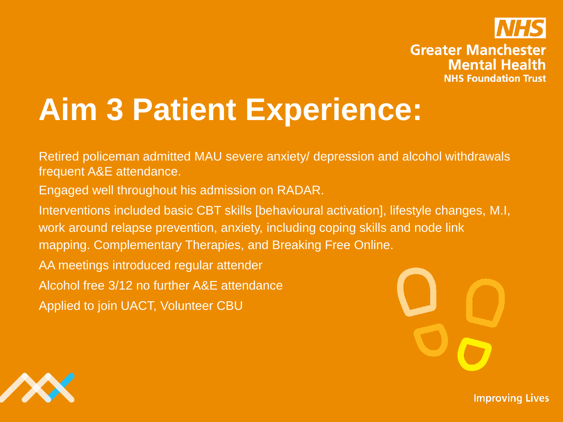

# **Aim 3 Patient Experience:**

Retired policeman admitted MAU severe anxiety/ depression and alcohol withdrawals frequent A&E attendance.

Engaged well throughout his admission on RADAR.

Interventions included basic CBT skills [behavioural activation], lifestyle changes, M.I, work around relapse prevention, anxiety, including coping skills and node link mapping. Complementary Therapies, and Breaking Free Online.

AA meetings introduced regular attender

Alcohol free 3/12 no further A&E attendance

Applied to join UACT, Volunteer CBU



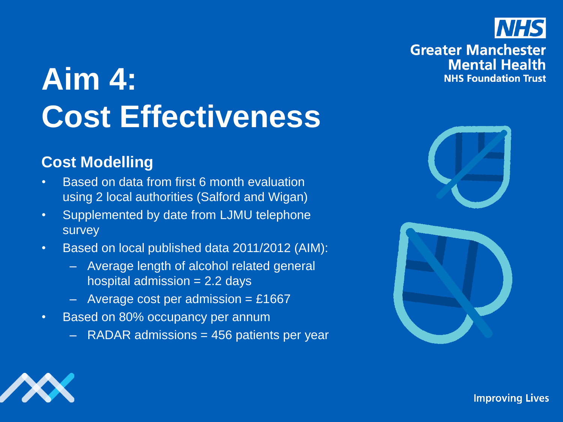# **Aim 4: Cost Effectiveness**

## **Cost Modelling**

- Based on data from first 6 month evaluation using 2 local authorities (Salford and Wigan)
- Supplemented by date from LJMU telephone survey
- Based on local published data 2011/2012 (AIM):
	- Average length of alcohol related general hospital admission  $= 2.2$  days
	- $-$  Average cost per admission = £1667
- Based on 80% occupancy per annum
	- $-$  RADAR admissions  $=$  456 patients per year





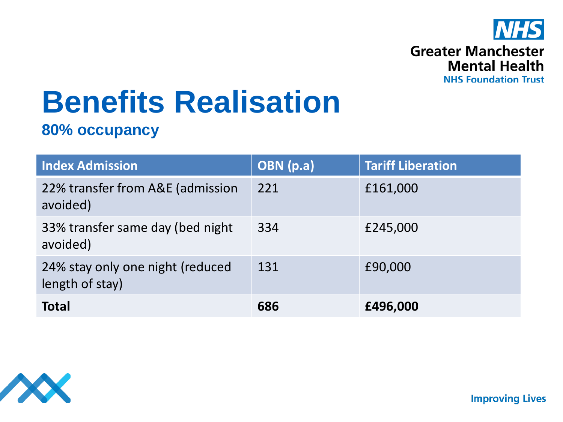

# **Benefits Realisation**

### **80% occupancy**

| <b>Index Admission</b>                              | OBN (p.a) | <b>Tariff Liberation</b> |
|-----------------------------------------------------|-----------|--------------------------|
| 22% transfer from A&E (admission<br>avoided)        | 221       | £161,000                 |
| 33% transfer same day (bed night<br>avoided)        | 334       | £245,000                 |
| 24% stay only one night (reduced<br>length of stay) | 131       | £90,000                  |
| <b>Total</b>                                        | 686       | £496,000                 |

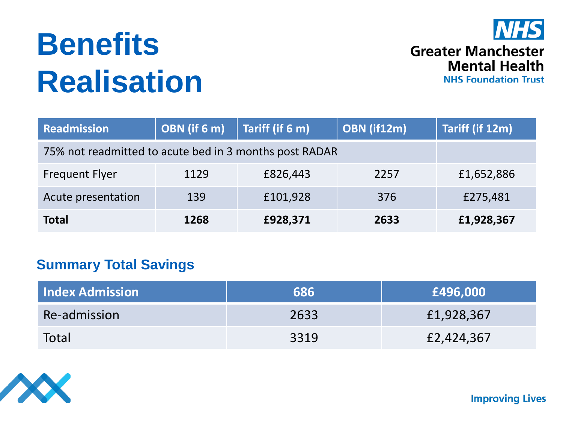# **Benefits Realisation**



#### **Greater Manchester Mental Health NHS Foundation Trust**

| <b>Readmission</b>                                     | OBN (if 6 m) | Tariff (if 6 m) | OBN (if12m) | Tariff (if 12m) |
|--------------------------------------------------------|--------------|-----------------|-------------|-----------------|
| 75% not readmitted to acute bed in 3 months post RADAR |              |                 |             |                 |
| <b>Frequent Flyer</b>                                  | 1129         | £826,443        | 2257        | £1,652,886      |
| Acute presentation                                     | 139          | £101,928        | 376         | £275,481        |
| <b>Total</b>                                           | 1268         | £928,371        | 2633        | £1,928,367      |

### **Summary Total Savings**

| <b>Index Admission</b> | 686  | £496,000   |
|------------------------|------|------------|
| <b>Re-admission</b>    | 2633 | £1,928,367 |
| Total                  | 3319 | £2,424,367 |

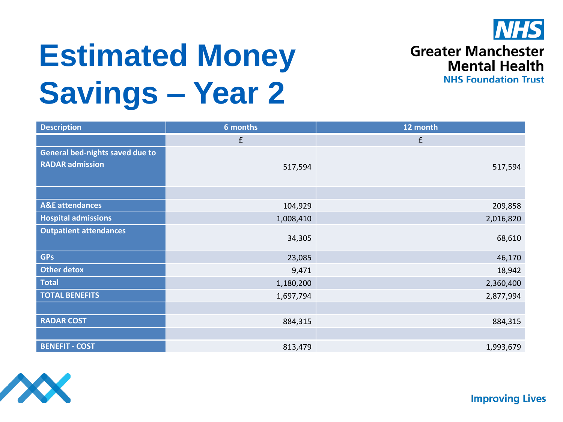

# **Estimated Money Savings – Year 2**

**Greater Manchester Mental Health NHS Foundation Trust** 

| <b>Description</b>              | 6 months  | 12 month  |
|---------------------------------|-----------|-----------|
|                                 | £         | f         |
| General bed-nights saved due to |           |           |
| <b>RADAR admission</b>          | 517,594   | 517,594   |
|                                 |           |           |
|                                 |           |           |
| <b>A&amp;E</b> attendances      | 104,929   | 209,858   |
| <b>Hospital admissions</b>      | 1,008,410 | 2,016,820 |
| <b>Outpatient attendances</b>   |           |           |
|                                 | 34,305    | 68,610    |
| <b>GPs</b>                      | 23,085    | 46,170    |
| <b>Other detox</b>              | 9,471     | 18,942    |
| <b>Total</b>                    | 1,180,200 | 2,360,400 |
| <b>TOTAL BENEFITS</b>           | 1,697,794 | 2,877,994 |
|                                 |           |           |
| <b>RADAR COST</b>               | 884,315   | 884,315   |
|                                 |           |           |
| <b>BENEFIT - COST</b>           | 813,479   | 1,993,679 |

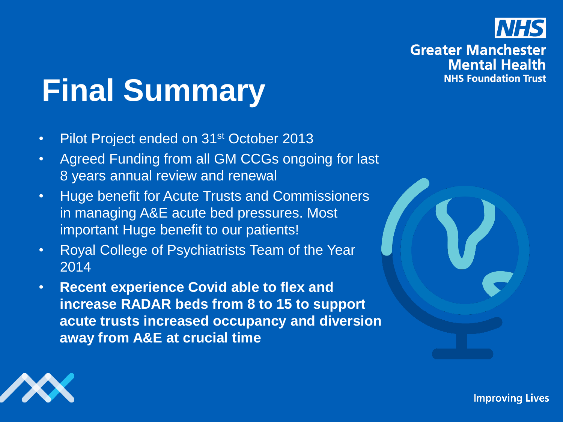

# **Final Summary**

- Pilot Project ended on 31<sup>st</sup> October 2013
- Agreed Funding from all GM CCGs ongoing for last 8 years annual review and renewal
- Huge benefit for Acute Trusts and Commissioners in managing A&E acute bed pressures. Most important Huge benefit to our patients!
- Royal College of Psychiatrists Team of the Year 2014
- **Recent experience Covid able to flex and increase RADAR beds from 8 to 15 to support acute trusts increased occupancy and diversion away from A&E at crucial time**